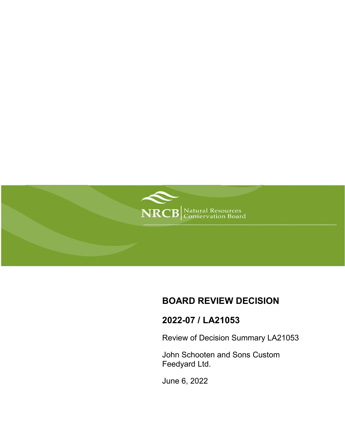

# **BOARD REVIEW DECISION**

# **2022-07 / LA21053**

Review of Decision Summary LA21053

John Schooten and Sons Custom Feedyard Ltd.

June 6, 2022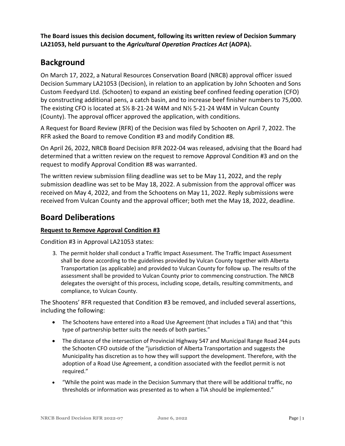**The Board issues this decision document, following its written review of Decision Summary LA21053, held pursuant to the** *Agricultural Operation Practices Act* **(AOPA).**

# **Background**

On March 17, 2022, a Natural Resources Conservation Board (NRCB) approval officer issued Decision Summary LA21053 (Decision), in relation to an application by John Schooten and Sons Custom Feedyard Ltd. (Schooten) to expand an existing beef confined feeding operation (CFO) by constructing additional pens, a catch basin, and to increase beef finisher numbers to 75,000. The existing CFO is located at S½ 8-21-24 W4M and N½ 5-21-24 W4M in Vulcan County (County). The approval officer approved the application, with conditions.

A Request for Board Review (RFR) of the Decision was filed by Schooten on April 7, 2022. The RFR asked the Board to remove Condition #3 and modify Condition #8.

On April 26, 2022, NRCB Board Decision RFR 2022-04 was released, advising that the Board had determined that a written review on the request to remove Approval Condition #3 and on the request to modify Approval Condition #8 was warranted.

The written review submission filing deadline was set to be May 11, 2022, and the reply submission deadline was set to be May 18, 2022. A submission from the approval officer was received on May 4, 2022, and from the Schootens on May 11, 2022. Reply submissions were received from Vulcan County and the approval officer; both met the May 18, 2022, deadline.

## **Board Deliberations**

### **Request to Remove Approval Condition #3**

Condition #3 in Approval LA21053 states:

3*.* The permit holder shall conduct a Traffic Impact Assessment. The Traffic Impact Assessment shall be done according to the guidelines provided by Vulcan County together with Alberta Transportation (as applicable) and provided to Vulcan County for follow up. The results of the assessment shall be provided to Vulcan County prior to commencing construction. The NRCB delegates the oversight of this process, including scope, details, resulting commitments, and compliance, to Vulcan County.

The Shootens' RFR requested that Condition #3 be removed, and included several assertions, including the following:

- The Schootens have entered into a Road Use Agreement (that includes a TIA) and that "this type of partnership better suits the needs of both parties."
- The distance of the intersection of Provincial Highway 547 and Municipal Range Road 244 puts the Schooten CFO outside of the "jurisdiction of Alberta Transportation and suggests the Municipality has discretion as to how they will support the development. Therefore, with the adoption of a Road Use Agreement, a condition associated with the feedlot permit is not required."
- "While the point was made in the Decision Summary that there will be additional traffic, no thresholds or information was presented as to when a TIA should be implemented."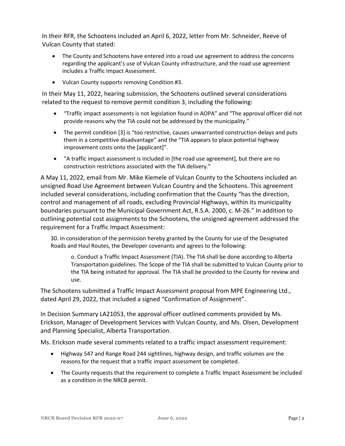In their RFR, the Schootens included an April 6, 2022, letter from Mr. Schneider, Reeve of Vulcan County that stated:

- The County and Schootens have entered into a road use agreement to address the concerns regarding the applicant's use of Vulcan County infrastructure, and the road use agreement includes a Traffic Impact Assessment.
- Vulcan County supports removing Condition #3.

In their May 11, 2022, hearing submission, the Schootens outlined several considerations related to the request to remove permit condition 3, including the following:

- "Traffic impact assessments is not legislation found in AOPA" and "The approval officer did not provide reasons why the TIA could not be addressed by the municipality."
- The permit condition [3] is "too restrictive, causes unwarranted construction delays and puts them in a competitive disadvantage" and the "TIA appears to place potential highway improvement costs onto the [applicant]".
- "A traffic impact assessment is included in [the road use agreement], but there are no construction restrictions associated with the TIA delivery."

A May 11, 2022, email from Mr. Mike Kiemele of Vulcan County to the Schootens included an unsigned Road Use Agreement between Vulcan Country and the Schootens. This agreement included several considerations, including confirmation that the County "has the direction, control and management of all roads, excluding Provincial Highways, within its municipality boundaries pursuant to the Municipal Government Act, R.S.A. 2000, c. M-26." In addition to outlining potential cost assignments to the Schootens, the unsigned agreement addressed the requirement for a Traffic Impact Assessment:

30. In consideration of the permission hereby granted by the County for use of the Designated Roads and Haul Routes, the Developer covenants and agrees to the following:

o. Conduct a Traffic Impact Assessment (TIA). The TIA shall be done according to Alberta Transportation guidelines. The Scope of the TIA shall be submitted to Vulcan County prior to the TIA being initiated for approval. The TIA shall be provided to the County for review and use.

The Schootens submitted a Traffic Impact Assessment proposal from MPE Engineering Ltd., dated April 29, 2022, that included a signed "Confirmation of Assignment".

In Decision Summary LA21053, the approval officer outlined comments provided by Ms. Erickson, Manager of Development Services with Vulcan County, and Ms. Olsen, Development and Planning Specialist, Alberta Transportation.

Ms. Erickson made several comments related to a traffic impact assessment requirement:

- Highway 547 and Range Road 244 sightlines, highway design, and traffic volumes are the reasons for the request that a traffic impact assessment be completed.
- The County requests that the requirement to complete a Traffic Impact Assessment be included as a condition in the NRCB permit.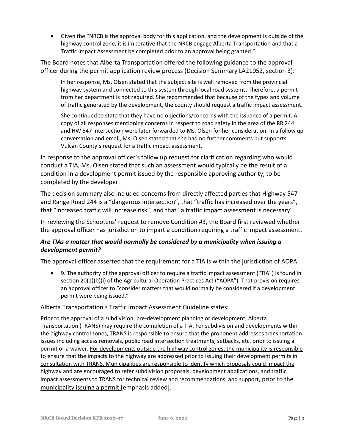• Given the "NRCB is the approval body for this application, and the development is outside of the highway control zone, it is imperative that the NRCB engage Alberta Transportation and that a Traffic Impact Assessment be completed prior to an approval being granted."

The Board notes that Alberta Transportation offered the following guidance to the approval officer during the permit application review process (Decision Summary LA21052, section 3):

In her response, Ms. Olsen stated that the subject site is well removed from the provincial highway system and connected to this system through local road systems. Therefore, a permit from her department is not required. She recommended that because of the types and volume of traffic generated by the development, the county should request a traffic impact assessment.

She continued to state that they have no objections/concerns with the issuance of a permit. A copy of all responses mentioning concerns in respect to road safety in the area of the RR 244 and HW 547 intersection were later forwarded to Ms. Olsen for her consideration. In a follow up conversation and email, Ms. Olsen stated that she had no further comments but supports Vulcan County's request for a traffic impact assessment.

In response to the approval officer's follow up request for clarification regarding who would conduct a TIA, Ms. Olsen stated that such an assessment would typically be the result of a condition in a development permit issued by the responsible approving authority, to be completed by the developer.

The decision summary also included concerns from directly affected parties that Highway 547 and Range Road 244 is a "dangerous intersection", that "traffic has increased over the years", that "increased traffic will increase risk", and that "a traffic impact assessment is necessary".

In reviewing the Schootens' request to remove Condition #3, the Board first reviewed whether the approval officer has jurisdiction to impart a condition requiring a traffic impact assessment.

## *Are TIAs a matter that would normally be considered by a municipality when issuing a development permit?*

The approval officer asserted that the requirement for a TIA is within the jurisdiction of AOPA:

• 9. The authority of the approval officer to require a traffic impact assessment ("TIA") is found in section 20(1)(b)(i) of the Agricultural Operation Practices Act ("AOPA"). That provision requires an approval officer to "consider matters that would normally be considered if a development permit were being issued."

### Alberta Transportation's Traffic Impact Assessment Guideline states:

Prior to the approval of a subdivision, pre-development planning or development, Alberta Transportation (TRANS) may require the completion of a TIA. For subdivision and developments within the highway control zones, TRANS is responsible to ensure that the proponent addresses transportation issues including access removals, public road intersection treatments, setbacks, etc. prior to issuing a permit or a waiver. For developments outside the highway control zones, the municipality is responsible to ensure that the impacts to the highway are addressed prior to issuing their development permits in consultation with TRANS. Municipalities are responsible to identify which proposals could impact the highway and are encouraged to refer subdivision proposals, development applications, and traffic impact assessments to TRANS for technical review and recommendations, and support, prior to the municipality issuing a permit [emphasis added].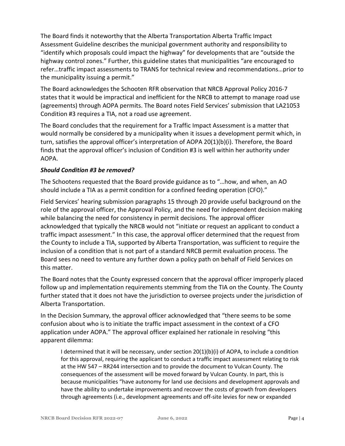The Board finds it noteworthy that the Alberta Transportation Alberta Traffic Impact Assessment Guideline describes the municipal government authority and responsibility to "identify which proposals could impact the highway" for developments that are "outside the highway control zones." Further, this guideline states that municipalities "are encouraged to refer…traffic impact assessments to TRANS for technical review and recommendations…prior to the municipality issuing a permit."

The Board acknowledges the Schooten RFR observation that NRCB Approval Policy 2016-7 states that it would be impractical and inefficient for the NRCB to attempt to manage road use (agreements) through AOPA permits. The Board notes Field Services' submission that LA21053 Condition #3 requires a TIA, not a road use agreement.

The Board concludes that the requirement for a Traffic Impact Assessment is a matter that would normally be considered by a municipality when it issues a development permit which, in turn, satisfies the approval officer's interpretation of AOPA 20(1)(b)(i). Therefore, the Board finds that the approval officer's inclusion of Condition #3 is well within her authority under AOPA.

## *Should Condition #3 be removed?*

The Schootens requested that the Board provide guidance as to "…how, and when, an AO should include a TIA as a permit condition for a confined feeding operation (CFO)."

Field Services' hearing submission paragraphs 15 through 20 provide useful background on the role of the approval officer, the Approval Policy, and the need for independent decision making while balancing the need for consistency in permit decisions. The approval officer acknowledged that typically the NRCB would not "initiate or request an applicant to conduct a traffic impact assessment." In this case, the approval officer determined that the request from the County to include a TIA, supported by Alberta Transportation, was sufficient to require the inclusion of a condition that is not part of a standard NRCB permit evaluation process. The Board sees no need to venture any further down a policy path on behalf of Field Services on this matter.

The Board notes that the County expressed concern that the approval officer improperly placed follow up and implementation requirements stemming from the TIA on the County. The County further stated that it does not have the jurisdiction to oversee projects under the jurisdiction of Alberta Transportation.

In the Decision Summary, the approval officer acknowledged that "there seems to be some confusion about who is to initiate the traffic impact assessment in the context of a CFO application under AOPA." The approval officer explained her rationale in resolving "this apparent dilemma:

I determined that it will be necessary, under section 20(1)(b)(i) of AOPA, to include a condition for this approval, requiring the applicant to conduct a traffic impact assessment relating to risk at the HW 547 – RR244 intersection and to provide the document to Vulcan County. The consequences of the assessment will be moved forward by Vulcan County. In part, this is because municipalities "have autonomy for land use decisions and development approvals and have the ability to undertake improvements and recover the costs of growth from developers through agreements (i.e., development agreements and off-site levies for new or expanded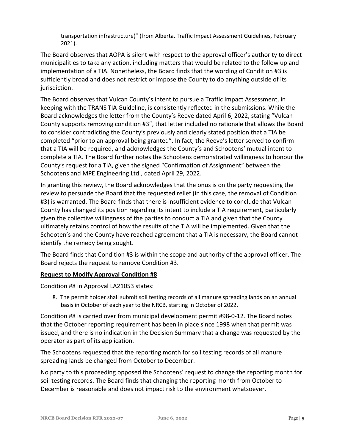transportation infrastructure)" (from Alberta, Traffic Impact Assessment Guidelines, February 2021).

The Board observes that AOPA is silent with respect to the approval officer's authority to direct municipalities to take any action, including matters that would be related to the follow up and implementation of a TIA. Nonetheless, the Board finds that the wording of Condition #3 is sufficiently broad and does not restrict or impose the County to do anything outside of its jurisdiction.

The Board observes that Vulcan County's intent to pursue a Traffic Impact Assessment, in keeping with the TRANS TIA Guideline, is consistently reflected in the submissions. While the Board acknowledges the letter from the County's Reeve dated April 6, 2022, stating "Vulcan County supports removing condition #3", that letter included no rationale that allows the Board to consider contradicting the County's previously and clearly stated position that a TIA be completed "prior to an approval being granted". In fact, the Reeve's letter served to confirm that a TIA will be required, and acknowledges the County's and Schootens' mutual intent to complete a TIA. The Board further notes the Schootens demonstrated willingness to honour the County's request for a TIA, given the signed "Confirmation of Assignment" between the Schootens and MPE Engineering Ltd., dated April 29, 2022.

In granting this review, the Board acknowledges that the onus is on the party requesting the review to persuade the Board that the requested relief (in this case, the removal of Condition #3) is warranted. The Board finds that there is insufficient evidence to conclude that Vulcan County has changed its position regarding its intent to include a TIA requirement, particularly given the collective willingness of the parties to conduct a TIA and given that the County ultimately retains control of how the results of the TIA will be implemented. Given that the Schooten's and the County have reached agreement that a TIA is necessary, the Board cannot identify the remedy being sought.

The Board finds that Condition #3 is within the scope and authority of the approval officer. The Board rejects the request to remove Condition #3.

### **Request to Modify Approval Condition #8**

Condition #8 in Approval LA21053 states:

8. The permit holder shall submit soil testing records of all manure spreading lands on an annual basis in October of each year to the NRCB, starting in October of 2022.

Condition #8 is carried over from municipal development permit #98-0-12. The Board notes that the October reporting requirement has been in place since 1998 when that permit was issued, and there is no indication in the Decision Summary that a change was requested by the operator as part of its application.

The Schootens requested that the reporting month for soil testing records of all manure spreading lands be changed from October to December.

No party to this proceeding opposed the Schootens' request to change the reporting month for soil testing records. The Board finds that changing the reporting month from October to December is reasonable and does not impact risk to the environment whatsoever.